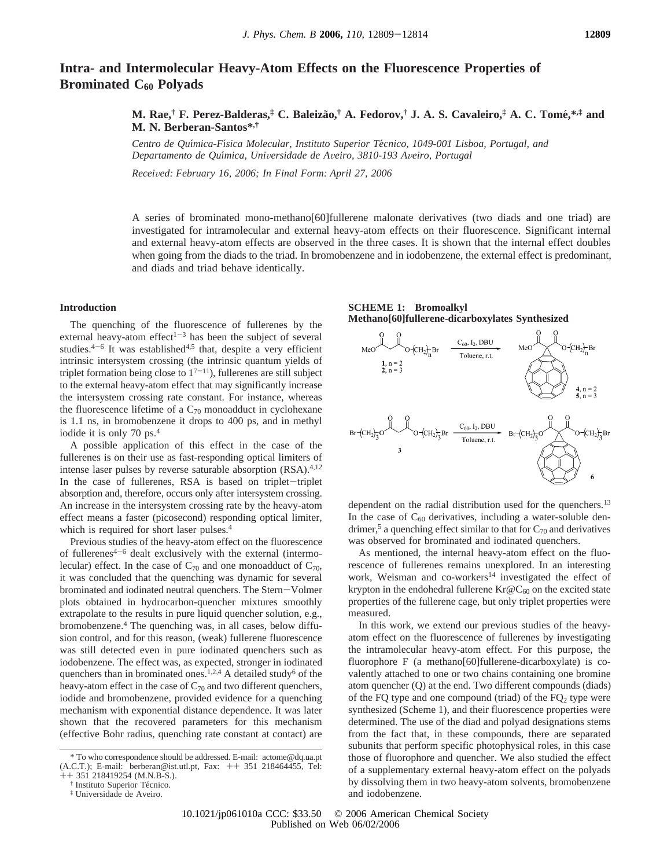# **Intra- and Intermolecular Heavy-Atom Effects on the Fluorescence Properties of Brominated C60 Polyads**

# **M. Rae,† F. Perez-Balderas,‡ C. Baleiza**˜**o,† A. Fedorov,† J. A. S. Cavaleiro,‡ A. C. Tome**´**,\*,‡ and M. N. Berberan-Santos\*,†**

*Centro de Quı*´*mica-Fı*´*sica Molecular, Instituto Superior Te*´*cnico, 1049-001 Lisboa, Portugal, and Departamento de Quı*´*mica, Uni*V*ersidade de A*V*eiro, 3810-193 A*V*eiro, Portugal*

*Recei*V*ed: February 16, 2006; In Final Form: April 27, 2006*

A series of brominated mono-methano[60]fullerene malonate derivatives (two diads and one triad) are investigated for intramolecular and external heavy-atom effects on their fluorescence. Significant internal and external heavy-atom effects are observed in the three cases. It is shown that the internal effect doubles when going from the diads to the triad. In bromobenzene and in iodobenzene, the external effect is predominant, and diads and triad behave identically.

## **Introduction**

The quenching of the fluorescence of fullerenes by the external heavy-atom effect $1-3$  has been the subject of several studies. $4-6$  It was established<sup>4,5</sup> that, despite a very efficient intrinsic intersystem crossing (the intrinsic quantum yields of triplet formation being close to  $1^{7-11}$ ), fullerenes are still subject to the external heavy-atom effect that may significantly increase the intersystem crossing rate constant. For instance, whereas the fluorescence lifetime of a  $C_{70}$  monoadduct in cyclohexane is 1.1 ns, in bromobenzene it drops to 400 ps, and in methyl iodide it is only 70 ps.4

A possible application of this effect in the case of the fullerenes is on their use as fast-responding optical limiters of intense laser pulses by reverse saturable absorption (RSA).<sup>4,12</sup> In the case of fullerenes, RSA is based on triplet-triplet absorption and, therefore, occurs only after intersystem crossing. An increase in the intersystem crossing rate by the heavy-atom effect means a faster (picosecond) responding optical limiter, which is required for short laser pulses.<sup>4</sup>

Previous studies of the heavy-atom effect on the fluorescence of fullerenes $4-6$  dealt exclusively with the external (intermolecular) effect. In the case of  $C_{70}$  and one monoadduct of  $C_{70}$ , it was concluded that the quenching was dynamic for several brominated and iodinated neutral quenchers. The Stern-Volmer plots obtained in hydrocarbon-quencher mixtures smoothly extrapolate to the results in pure liquid quencher solution, e.g., bromobenzene.4 The quenching was, in all cases, below diffusion control, and for this reason, (weak) fullerene fluorescence was still detected even in pure iodinated quenchers such as iodobenzene. The effect was, as expected, stronger in iodinated quenchers than in brominated ones.<sup>1,2,4</sup> A detailed study<sup>6</sup> of the heavy-atom effect in the case of  $C_{70}$  and two different quenchers, iodide and bromobenzene, provided evidence for a quenching mechanism with exponential distance dependence. It was later shown that the recovered parameters for this mechanism (effective Bohr radius, quenching rate constant at contact) are

**SCHEME 1: Bromoalkyl Methano[60]fullerene-dicarboxylates Synthesized**



dependent on the radial distribution used for the quenchers.<sup>13</sup> In the case of  $C_{60}$  derivatives, including a water-soluble dendrimer,<sup>5</sup> a quenching effect similar to that for  $C_{70}$  and derivatives was observed for brominated and iodinated quenchers.

As mentioned, the internal heavy-atom effect on the fluorescence of fullerenes remains unexplored. In an interesting work, Weisman and co-workers<sup>14</sup> investigated the effect of krypton in the endohedral fullerene  $Kr@C_{60}$  on the excited state properties of the fullerene cage, but only triplet properties were measured.

In this work, we extend our previous studies of the heavyatom effect on the fluorescence of fullerenes by investigating the intramolecular heavy-atom effect. For this purpose, the fluorophore F (a methano[60]fullerene-dicarboxylate) is covalently attached to one or two chains containing one bromine atom quencher (Q) at the end. Two different compounds (diads) of the FQ type and one compound (triad) of the  $FQ<sub>2</sub>$  type were synthesized (Scheme 1), and their fluorescence properties were determined. The use of the diad and polyad designations stems from the fact that, in these compounds, there are separated subunits that perform specific photophysical roles, in this case those of fluorophore and quencher. We also studied the effect of a supplementary external heavy-atom effect on the polyads by dissolving them in two heavy-atom solvents, bromobenzene and iodobenzene.

<sup>\*</sup> To who correspondence should be addressed. E-mail: actome@dq.ua.pt (A.C.T.); E-mail: berberan@ist.utl.pt, Fax: ++ 351 218464455, Tel:  $++$  351 218419254 (M.N.B-S.).

<sup>&</sup>lt;sup>†</sup> Instituto Superior Técnico.

<sup>‡</sup> Universidade de Aveiro.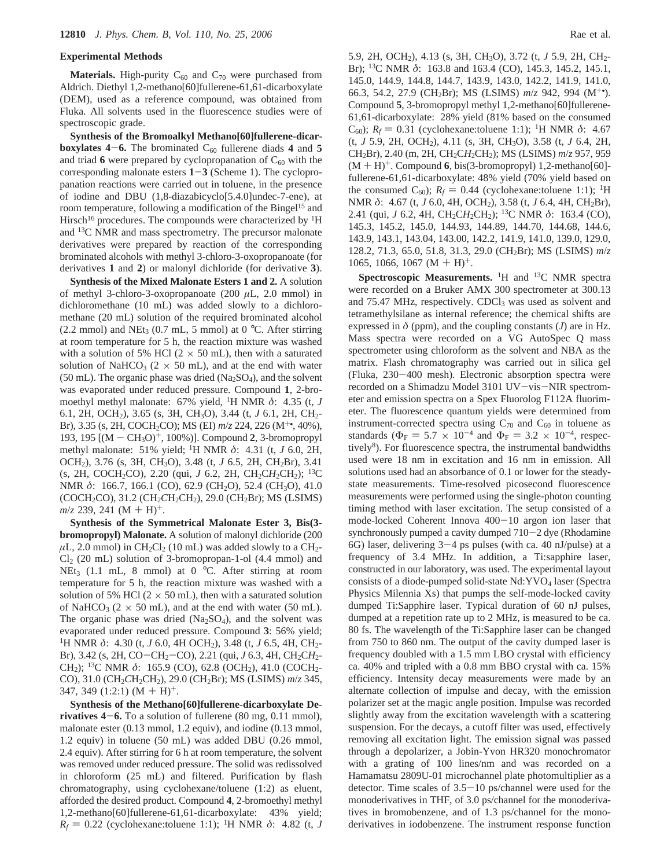#### **Experimental Methods**

**Materials.** High-purity  $C_{60}$  and  $C_{70}$  were purchased from Aldrich. Diethyl 1,2-methano[60]fullerene-61,61-dicarboxylate (DEM), used as a reference compound, was obtained from Fluka. All solvents used in the fluorescence studies were of spectroscopic grade.

**Synthesis of the Bromoalkyl Methano[60]fullerene-dicarboxylates 4–6.** The brominated  $C_{60}$  fullerene diads 4 and 5 and triad  $6$  were prepared by cyclopropanation of  $C_{60}$  with the corresponding malonate esters **<sup>1</sup>**-**<sup>3</sup>** (Scheme 1). The cyclopropanation reactions were carried out in toluene, in the presence of iodine and DBU (1,8-diazabicyclo[5.4.0]undec-7-ene), at room temperature, following a modification of the Bingel<sup>15</sup> and Hirsch<sup>16</sup> procedures. The compounds were characterized by <sup>1</sup>H and 13C NMR and mass spectrometry. The precursor malonate derivatives were prepared by reaction of the corresponding brominated alcohols with methyl 3-chloro-3-oxopropanoate (for derivatives **1** and **2**) or malonyl dichloride (for derivative **3**).

**Synthesis of the Mixed Malonate Esters 1 and 2.** A solution of methyl 3-chloro-3-oxopropanoate (200 *µ*L, 2.0 mmol) in dichloromethane (10 mL) was added slowly to a dichloromethane (20 mL) solution of the required brominated alcohol (2.2 mmol) and NEt<sub>3</sub> (0.7 mL, 5 mmol) at 0  $^{\circ}$ C. After stirring at room temperature for 5 h, the reaction mixture was washed with a solution of 5% HCl ( $2 \times 50$  mL), then with a saturated solution of NaHCO<sub>3</sub> ( $2 \times 50$  mL), and at the end with water (50 mL). The organic phase was dried  $(Na_2SO_4)$ , and the solvent was evaporated under reduced pressure. Compound **1**, 2-bromoethyl methyl malonate: 67% yield, 1H NMR *δ*: 4.35 (t, *J* 6.1, 2H, OCH2), 3.65 (s, 3H, CH3O), 3.44 (t, *J* 6.1, 2H, CH2- Br), 3.35 (s, 2H, COCH2CO); MS (EI) *m*/*z* 224, 226 (M+•, 40%), 193, 195 [(M - CH3O)+, 100%)]. Compound **<sup>2</sup>**, 3-bromopropyl methyl malonate: 51% yield; 1H NMR *δ*: 4.31 (t, *J* 6.0, 2H, OCH2), 3.76 (s, 3H, CH3O), 3.48 (t, *J* 6.5, 2H, CH2Br), 3.41 (s, 2H, COCH<sub>2</sub>CO), 2.20 (qui, *J* 6.2, 2H, CH<sub>2</sub>CH<sub>2</sub>CH<sub>2</sub>); <sup>13</sup>C NMR δ: 166.7, 166.1 (CO), 62.9 (CH<sub>2</sub>O), 52.4 (CH<sub>3</sub>O), 41.0 (COCH<sub>2</sub>CO), 31.2 (CH<sub>2</sub>CH<sub>2</sub>CH<sub>2</sub>), 29.0 (CH<sub>2</sub>Br); MS (LSIMS)  $m/z$  239, 241 (M + H)<sup>+</sup>.

**Synthesis of the Symmetrical Malonate Ester 3, Bis(3 bromopropyl) Malonate.** A solution of malonyl dichloride (200  $\mu$ L, 2.0 mmol) in CH<sub>2</sub>Cl<sub>2</sub> (10 mL) was added slowly to a CH<sub>2</sub>-Cl2 (20 mL) solution of 3-bromopropan-1-ol (4.4 mmol) and NEt<sub>3</sub> (1.1 mL, 8 mmol) at 0 °C. After stirring at room temperature for 5 h, the reaction mixture was washed with a solution of 5% HCl  $(2 \times 50 \text{ mL})$ , then with a saturated solution of NaHCO<sub>3</sub> ( $2 \times 50$  mL), and at the end with water ( $50$  mL). The organic phase was dried  $(Na<sub>2</sub>SO<sub>4</sub>)$ , and the solvent was evaporated under reduced pressure. Compound **3**: 56% yield; <sup>1</sup>H NMR δ: 4.30 (t, *J* 6.0, 4H OCH<sub>2</sub>), 3.48 (t, *J* 6.5, 4H, CH<sub>2</sub>-Br), 3.42 (s, 2H, CO-CH2-CO), 2.21 (qui, *<sup>J</sup>* 6.3, 4H, CH2C*H*2- CH<sub>2</sub>); <sup>13</sup>C NMR δ: 165.9 (CO), 62.8 (OCH<sub>2</sub>), 41.0 (COCH<sub>2</sub>-CO), 31.0 (CH<sub>2</sub>CH<sub>2</sub>CH<sub>2</sub>), 29.0 (CH<sub>2</sub>Br); MS (LSIMS)  $m/z$  345, 347, 349 (1:2:1)  $(M + H)^{+}$ .

**Synthesis of the Methano[60]fullerene-dicarboxylate Derivatives 4**-**6.** To a solution of fullerene (80 mg, 0.11 mmol), malonate ester (0.13 mmol, 1.2 equiv), and iodine (0.13 mmol, 1.2 equiv) in toluene (50 mL) was added DBU (0.26 mmol, 2.4 equiv). After stirring for 6 h at room temperature, the solvent was removed under reduced pressure. The solid was redissolved in chloroform (25 mL) and filtered. Purification by flash chromatography, using cyclohexane/toluene (1:2) as eluent, afforded the desired product. Compound **4**, 2-bromoethyl methyl 1,2-methano[60]fullerene-61,61-dicarboxylate: 43% yield; *R<sub>f</sub>* = 0.22 (cyclohexane:toluene 1:1); <sup>1</sup>H NMR δ: 4.82 (t, *J* 

5.9, 2H, OCH2), 4.13 (s, 3H, CH3O), 3.72 (t, *J* 5.9, 2H, CH2- Br); 13C NMR *δ*: 163.8 and 163.4 (CO), 145.3, 145.2, 145.1, 145.0, 144.9, 144.8, 144.7, 143.9, 143.0, 142.2, 141.9, 141.0, 66.3, 54.2, 27.9 (CH2Br); MS (LSIMS) *m*/*z* 942, 994 (M+•). Compound **5**, 3-bromopropyl methyl 1,2-methano[60]fullerene-61,61-dicarboxylate: 28% yield (81% based on the consumed C<sub>60</sub>);  $R_f = 0.31$  (cyclohexane:toluene 1:1); <sup>1</sup>H NMR δ: 4.67 (t, *J* 5.9, 2H, OCH2), 4.11 (s, 3H, CH3O), 3.58 (t, *J* 6.4, 2H, CH2Br), 2.40 (m, 2H, CH2C*H*2CH2); MS (LSIMS) *m*/*z* 957, 959  $(M + H)^+$ . Compound **6**, bis(3-bromopropyl) 1,2-methano[60]fullerene-61,61-dicarboxylate: 48% yield (70% yield based on the consumed  $C_{60}$ );  $R_f = 0.44$  (cyclohexane:toluene 1:1); <sup>1</sup>H NMR δ: 4.67 (t, *J* 6.0, 4H, OCH<sub>2</sub>), 3.58 (t, *J* 6.4, 4H, CH<sub>2</sub>Br), 2.41 (qui, *J* 6.2, 4H, CH2C*H*2CH2); 13C NMR *δ*: 163.4 (CO), 145.3, 145.2, 145.0, 144.93, 144.89, 144.70, 144.68, 144.6, 143.9, 143.1, 143.04, 143.00, 142.2, 141.9, 141.0, 139.0, 129.0, 128.2, 71.3, 65.0, 51.8, 31.3, 29.0 (CH2Br); MS (LSIMS) *m*/*z* 1065, 1066, 1067 (M + H)<sup>+</sup>.

**Spectroscopic Measurements.** <sup>1</sup>H and <sup>13</sup>C NMR spectra were recorded on a Bruker AMX 300 spectrometer at 300.13 and 75.47 MHz, respectively. CDCl<sub>3</sub> was used as solvent and tetramethylsilane as internal reference; the chemical shifts are expressed in  $\delta$  (ppm), and the coupling constants (*J*) are in Hz. Mass spectra were recorded on a VG AutoSpec Q mass spectrometer using chloroform as the solvent and NBA as the matrix. Flash chromatography was carried out in silica gel (Fluka, 230-400 mesh). Electronic absorption spectra were recorded on a Shimadzu Model 3101 UV-vis-NIR spectrometer and emission spectra on a Spex Fluorolog F112A fluorimeter. The fluorescence quantum yields were determined from instrument-corrected spectra using  $C_{70}$  and  $C_{60}$  in toluene as standards ( $\Phi_F = 5.7 \times 10^{-4}$  and  $\Phi_F = 3.2 \times 10^{-4}$ , respectively<sup>8</sup>). For fluorescence spectra, the instrumental bandwidths used were 18 nm in excitation and 16 nm in emission. All solutions used had an absorbance of 0.1 or lower for the steadystate measurements. Time-resolved picosecond fluorescence measurements were performed using the single-photon counting timing method with laser excitation. The setup consisted of a mode-locked Coherent Innova 400-10 argon ion laser that synchronously pumped a cavity dumped 710-2 dye (Rhodamine 6G) laser, delivering  $3-4$  ps pulses (with ca. 40 nJ/pulse) at a frequency of 3.4 MHz. In addition, a Ti:sapphire laser, constructed in our laboratory, was used. The experimental layout consists of a diode-pumped solid-state  $Nd:YVO<sub>4</sub>$  laser (Spectra Physics Milennia Xs) that pumps the self-mode-locked cavity dumped Ti:Sapphire laser. Typical duration of 60 nJ pulses, dumped at a repetition rate up to 2 MHz, is measured to be ca. 80 fs. The wavelength of the Ti:Sapphire laser can be changed from 750 to 860 nm. The output of the cavity dumped laser is frequency doubled with a 1.5 mm LBO crystal with efficiency ca. 40% and tripled with a 0.8 mm BBO crystal with ca. 15% efficiency. Intensity decay measurements were made by an alternate collection of impulse and decay, with the emission polarizer set at the magic angle position. Impulse was recorded slightly away from the excitation wavelength with a scattering suspension. For the decays, a cutoff filter was used, effectively removing all excitation light. The emission signal was passed through a depolarizer, a Jobin-Yvon HR320 monochromator with a grating of 100 lines/nm and was recorded on a Hamamatsu 2809U-01 microchannel plate photomultiplier as a detector. Time scales of 3.5-10 ps/channel were used for the monoderivatives in THF, of 3.0 ps/channel for the monoderivatives in bromobenzene, and of 1.3 ps/channel for the monoderivatives in iodobenzene. The instrument response function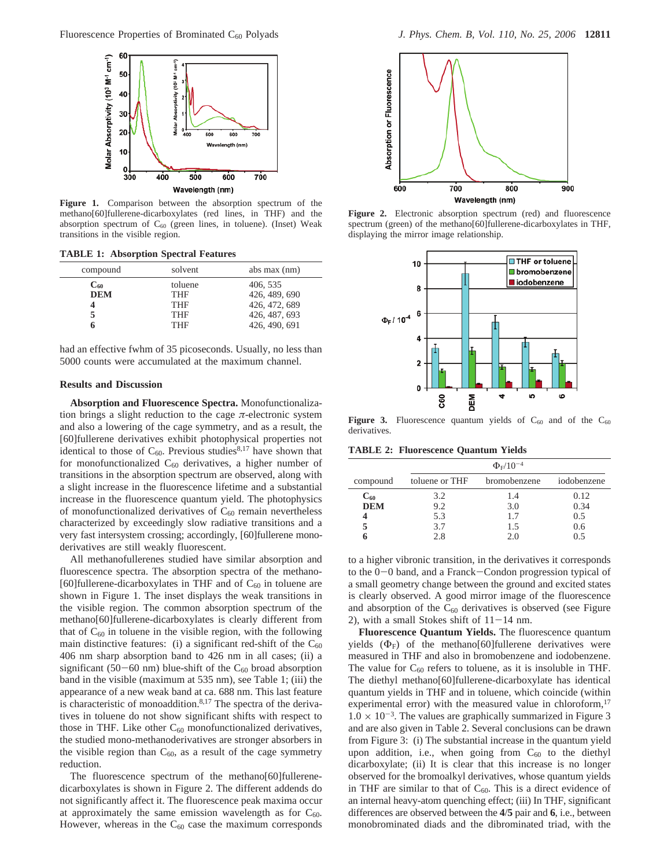

**Figure 1.** Comparison between the absorption spectrum of the methano[60]fullerene-dicarboxylates (red lines, in THF) and the absorption spectrum of  $C_{60}$  (green lines, in toluene). (Inset) Weak transitions in the visible region.

**TABLE 1: Absorption Spectral Features**

| compound          | solvent    | abs max (nm)  |
|-------------------|------------|---------------|
| $\mathrm{C}_{60}$ | toluene    | 406, 535      |
| <b>DEM</b>        | THF        | 426, 489, 690 |
|                   | THF        | 426, 472, 689 |
|                   | <b>THF</b> | 426, 487, 693 |
|                   | <b>THF</b> | 426, 490, 691 |

had an effective fwhm of 35 picoseconds. Usually, no less than 5000 counts were accumulated at the maximum channel.

### **Results and Discussion**

**Absorption and Fluorescence Spectra.** Monofunctionalization brings a slight reduction to the cage *π*-electronic system and also a lowering of the cage symmetry, and as a result, the [60]fullerene derivatives exhibit photophysical properties not identical to those of  $C_{60}$ . Previous studies<sup>8,17</sup> have shown that for monofunctionalized  $C_{60}$  derivatives, a higher number of transitions in the absorption spectrum are observed, along with a slight increase in the fluorescence lifetime and a substantial increase in the fluorescence quantum yield. The photophysics of monofunctionalized derivatives of  $C_{60}$  remain nevertheless characterized by exceedingly slow radiative transitions and a very fast intersystem crossing; accordingly, [60]fullerene monoderivatives are still weakly fluorescent.

All methanofullerenes studied have similar absorption and fluorescence spectra. The absorption spectra of the methano- [60]fullerene-dicarboxylates in THF and of  $C_{60}$  in toluene are shown in Figure 1. The inset displays the weak transitions in the visible region. The common absorption spectrum of the methano[60]fullerene-dicarboxylates is clearly different from that of  $C_{60}$  in toluene in the visible region, with the following main distinctive features: (i) a significant red-shift of the  $C_{60}$ 406 nm sharp absorption band to 426 nm in all cases; (ii) a significant (50-60 nm) blue-shift of the  $C_{60}$  broad absorption band in the visible (maximum at 535 nm), see Table 1; (iii) the appearance of a new weak band at ca. 688 nm. This last feature is characteristic of monoaddition.<sup>8,17</sup> The spectra of the derivatives in toluene do not show significant shifts with respect to those in THF. Like other  $C_{60}$  monofunctionalized derivatives, the studied mono-methanoderivatives are stronger absorbers in the visible region than  $C_{60}$ , as a result of the cage symmetry reduction.

The fluorescence spectrum of the methano[60]fullerenedicarboxylates is shown in Figure 2. The different addends do not significantly affect it. The fluorescence peak maxima occur at approximately the same emission wavelength as for  $C_{60}$ . However, whereas in the  $C_{60}$  case the maximum corresponds



**Figure 2.** Electronic absorption spectrum (red) and fluorescence spectrum (green) of the methano[60]fullerene-dicarboxylates in THF, displaying the mirror image relationship.



Figure 3. Fluorescence quantum yields of  $C_{60}$  and of the  $C_{60}$ derivatives.

**TABLE 2: Fluorescence Quantum Yields**

|            | $\Phi_{\rm F} / 10^{-4}$ |              |             |  |
|------------|--------------------------|--------------|-------------|--|
| compound   | toluene or THF           | bromobenzene | iodobenzene |  |
| $C_{60}$   | 3.2                      | 1.4          | 0.12        |  |
| <b>DEM</b> | 9.2                      | 3.0          | 0.34        |  |
|            | 5.3                      | 1.7          | 0.5         |  |
|            | 3.7                      | 1.5          | 0.6         |  |
|            | 2.8                      | 2.0          | 0.5         |  |

to a higher vibronic transition, in the derivatives it corresponds to the 0-0 band, and a Franck-Condon progression typical of a small geometry change between the ground and excited states is clearly observed. A good mirror image of the fluorescence and absorption of the  $C_{60}$  derivatives is observed (see Figure 2), with a small Stokes shift of  $11-14$  nm.

**Fluorescence Quantum Yields.** The fluorescence quantum yields  $(\Phi_F)$  of the methano[60]fullerene derivatives were measured in THF and also in bromobenzene and iodobenzene. The value for  $C_{60}$  refers to toluene, as it is insoluble in THF. The diethyl methano[60]fullerene-dicarboxylate has identical quantum yields in THF and in toluene, which coincide (within experimental error) with the measured value in chloroform,<sup>17</sup>  $1.0 \times 10^{-3}$ . The values are graphically summarized in Figure 3 and are also given in Table 2. Several conclusions can be drawn from Figure 3: (i) The substantial increase in the quantum yield upon addition, i.e., when going from  $C_{60}$  to the diethyl dicarboxylate; (ii) It is clear that this increase is no longer observed for the bromoalkyl derivatives, whose quantum yields in THF are similar to that of  $C_{60}$ . This is a direct evidence of an internal heavy-atom quenching effect; (iii) In THF, significant differences are observed between the **4**/**5** pair and **6**, i.e., between monobrominated diads and the dibrominated triad, with the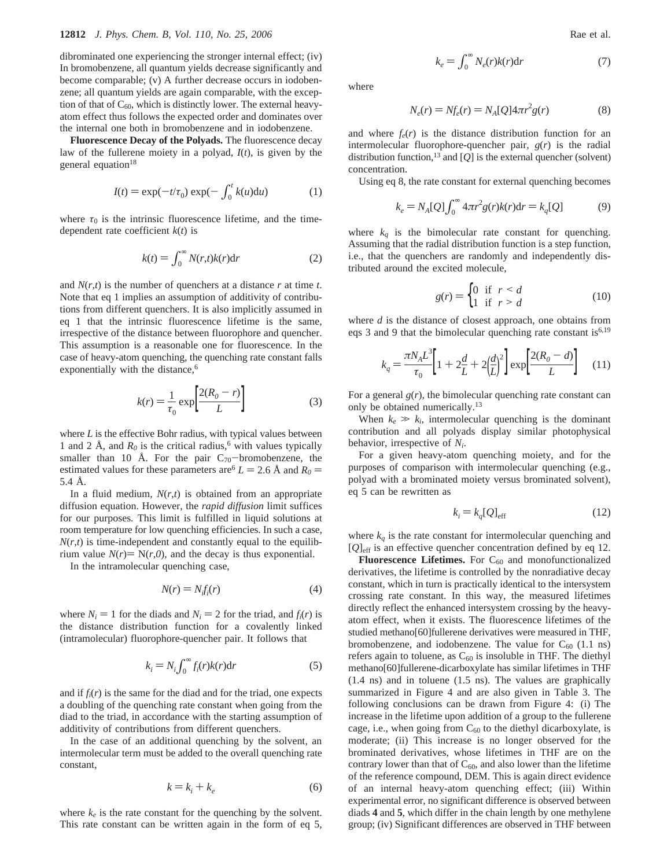dibrominated one experiencing the stronger internal effect; (iv) In bromobenzene, all quantum yields decrease significantly and become comparable; (v) A further decrease occurs in iodobenzene; all quantum yields are again comparable, with the exception of that of  $C_{60}$ , which is distinctly lower. The external heavyatom effect thus follows the expected order and dominates over the internal one both in bromobenzene and in iodobenzene.

**Fluorescence Decay of the Polyads.** The fluorescence decay law of the fullerene moiety in a polyad, *I*(*t*), is given by the general equation $18$ 

$$
I(t) = \exp(-t/\tau_0) \exp(-\int_0^t k(u) \mathrm{d}u) \tag{1}
$$

where  $\tau_0$  is the intrinsic fluorescence lifetime, and the timedependent rate coefficient *k*(*t*) is

$$
k(t) = \int_0^\infty N(r,t)k(r)dr
$$
 (2)

and  $N(r,t)$  is the number of quenchers at a distance  $r$  at time  $t$ . Note that eq 1 implies an assumption of additivity of contributions from different quenchers. It is also implicitly assumed in eq 1 that the intrinsic fluorescence lifetime is the same, irrespective of the distance between fluorophore and quencher. This assumption is a reasonable one for fluorescence. In the case of heavy-atom quenching, the quenching rate constant falls exponentially with the distance,<sup>6</sup>

$$
k(r) = \frac{1}{\tau_0} \exp\left[\frac{2(R_0 - r)}{L}\right] \tag{3}
$$

where *L* is the effective Bohr radius, with typical values between 1 and 2 Å, and  $R_0$  is the critical radius,<sup>6</sup> with values typically smaller than 10 Å. For the pair  $C_{70}$ -bromobenzene, the estimated values for these parameters are  $L = 2.6 \text{ Å}$  and  $R_0 =$ 5.4 Å.

In a fluid medium, *N*(*r*,*t*) is obtained from an appropriate diffusion equation. However, the *rapid diffusion* limit suffices for our purposes. This limit is fulfilled in liquid solutions at room temperature for low quenching efficiencies. In such a case,  $N(r,t)$  is time-independent and constantly equal to the equilibrium value  $N(r) = N(r, 0)$ , and the decay is thus exponential.

In the intramolecular quenching case,

$$
N(r) = N_f f_i(r) \tag{4}
$$

where  $N_i = 1$  for the diads and  $N_i = 2$  for the triad, and  $f_i(r)$  is the distance distribution function for a covalently linked (intramolecular) fluorophore-quencher pair. It follows that

$$
k_i = N_i \int_0^\infty f_i(r)k(r)dr
$$
 (5)

and if  $f_i(r)$  is the same for the diad and for the triad, one expects a doubling of the quenching rate constant when going from the diad to the triad, in accordance with the starting assumption of additivity of contributions from different quenchers.

In the case of an additional quenching by the solvent, an intermolecular term must be added to the overall quenching rate constant,

$$
k = k_i + k_e \tag{6}
$$

where  $k_e$  is the rate constant for the quenching by the solvent. This rate constant can be written again in the form of eq 5, where

$$
N_e(r) = Nf_e(r) = N_A[Q]4\pi r^2 g(r)
$$
 (8)

and where  $f_e(r)$  is the distance distribution function for an intermolecular fluorophore-quencher pair, *g*(*r*) is the radial distribution function,13 and [*Q*] is the external quencher (solvent) concentration.

Using eq 8, the rate constant for external quenching becomes

$$
k_e = N_A[Q] \int_0^\infty 4\pi r^2 g(r) k(r) dr = k_q[Q] \tag{9}
$$

where  $k_q$  is the bimolecular rate constant for quenching. Assuming that the radial distribution function is a step function, i.e., that the quenchers are randomly and independently distributed around the excited molecule,

$$
g(r) = \begin{cases} 0 & \text{if } r < d \\ 1 & \text{if } r > d \end{cases}
$$
 (10)

where *d* is the distance of closest approach, one obtains from eqs 3 and 9 that the bimolecular quenching rate constant is  $6,19$ 

$$
k_q = \frac{\pi N_A L^3}{\tau_0} \left[ 1 + 2\frac{d}{L} + 2\left(\frac{d}{L}\right)^2 \right] \exp\left[\frac{2(R_0 - d)}{L}\right] \tag{11}
$$

For a general  $g(r)$ , the bimolecular quenching rate constant can only be obtained numerically.<sup>13</sup>

When  $k_e \gg k_i$ , intermolecular quenching is the dominant contribution and all polyads display similar photophysical behavior, irrespective of *Ni*.

For a given heavy-atom quenching moiety, and for the purposes of comparison with intermolecular quenching (e.g., polyad with a brominated moiety versus brominated solvent), eq 5 can be rewritten as

$$
k_i = k_q[Q]_{\text{eff}} \tag{12}
$$

where  $k_q$  is the rate constant for intermolecular quenching and [*Q*]eff is an effective quencher concentration defined by eq 12.

**Fluorescence Lifetimes.** For  $C_{60}$  and monofunctionalized derivatives, the lifetime is controlled by the nonradiative decay constant, which in turn is practically identical to the intersystem crossing rate constant. In this way, the measured lifetimes directly reflect the enhanced intersystem crossing by the heavyatom effect, when it exists. The fluorescence lifetimes of the studied methano[60]fullerene derivatives were measured in THF, bromobenzene, and iodobenzene. The value for  $C_{60}$  (1.1 ns) refers again to toluene, as  $C_{60}$  is insoluble in THF. The diethyl methano[60]fullerene-dicarboxylate has similar lifetimes in THF (1.4 ns) and in toluene (1.5 ns). The values are graphically summarized in Figure 4 and are also given in Table 3. The following conclusions can be drawn from Figure 4: (i) The increase in the lifetime upon addition of a group to the fullerene cage, i.e., when going from  $C_{60}$  to the diethyl dicarboxylate, is moderate; (ii) This increase is no longer observed for the brominated derivatives, whose lifetimes in THF are on the contrary lower than that of  $C_{60}$ , and also lower than the lifetime of the reference compound, DEM. This is again direct evidence of an internal heavy-atom quenching effect; (iii) Within experimental error, no significant difference is observed between diads **4** and **5**, which differ in the chain length by one methylene group; (iv) Significant differences are observed in THF between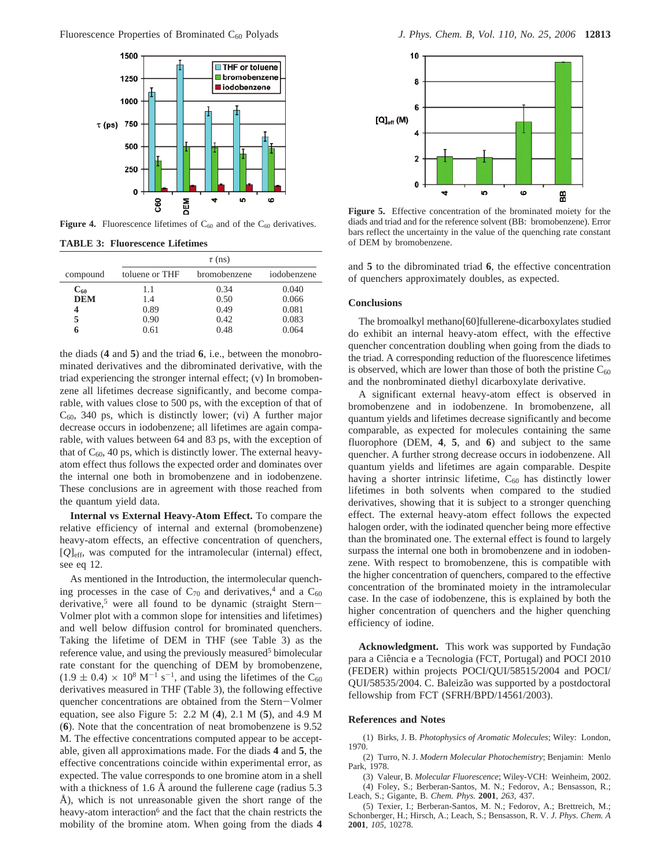

**Figure 4.** Fluorescence lifetimes of  $C_{60}$  and of the  $C_{60}$  derivatives.

**TABLE 3: Fluorescence Lifetimes**

|                   | $\tau$ (ns)    |              |             |
|-------------------|----------------|--------------|-------------|
| compound          | toluene or THF | bromobenzene | iodobenzene |
| $\mathrm{C}_{60}$ | 1.1            | 0.34         | 0.040       |
| <b>DEM</b>        | 1.4            | 0.50         | 0.066       |
| 4                 | 0.89           | 0.49         | 0.081       |
| 5                 | 0.90           | 0.42         | 0.083       |
|                   | 0.61           | 0.48         | 0.064       |

the diads (**4** and **5**) and the triad **6**, i.e., between the monobrominated derivatives and the dibrominated derivative, with the triad experiencing the stronger internal effect; (v) In bromobenzene all lifetimes decrease significantly, and become comparable, with values close to 500 ps, with the exception of that of  $C_{60}$ , 340 ps, which is distinctly lower; (vi) A further major decrease occurs in iodobenzene; all lifetimes are again comparable, with values between 64 and 83 ps, with the exception of that of  $C_{60}$ , 40 ps, which is distinctly lower. The external heavyatom effect thus follows the expected order and dominates over the internal one both in bromobenzene and in iodobenzene. These conclusions are in agreement with those reached from the quantum yield data.

**Internal vs External Heavy-Atom Effect.** To compare the relative efficiency of internal and external (bromobenzene) heavy-atom effects, an effective concentration of quenchers, [*Q*]eff, was computed for the intramolecular (internal) effect, see eq 12.

As mentioned in the Introduction, the intermolecular quenching processes in the case of  $C_{70}$  and derivatives,<sup>4</sup> and a  $C_{60}$ derivative,<sup>5</sup> were all found to be dynamic (straight Stern-Volmer plot with a common slope for intensities and lifetimes) and well below diffusion control for brominated quenchers. Taking the lifetime of DEM in THF (see Table 3) as the reference value, and using the previously measured<sup>5</sup> bimolecular rate constant for the quenching of DEM by bromobenzene,  $(1.9 \pm 0.4) \times 10^8 \text{ M}^{-1} \text{ s}^{-1}$ , and using the lifetimes of the C<sub>60</sub> derivatives measured in THF (Table 3), the following effective quencher concentrations are obtained from the Stern-Volmer equation, see also Figure 5: 2.2 M (**4**), 2.1 M (**5**), and 4.9 M (**6**). Note that the concentration of neat bromobenzene is 9.52 M. The effective concentrations computed appear to be acceptable, given all approximations made. For the diads **4** and **5**, the effective concentrations coincide within experimental error, as expected. The value corresponds to one bromine atom in a shell with a thickness of 1.6 Å around the fullerene cage (radius 5.3) Å), which is not unreasonable given the short range of the heavy-atom interaction<sup>6</sup> and the fact that the chain restricts the mobility of the bromine atom. When going from the diads **4**



**Figure 5.** Effective concentration of the brominated moiety for the diads and triad and for the reference solvent (BB: bromobenzene). Error bars reflect the uncertainty in the value of the quenching rate constant of DEM by bromobenzene.

and **5** to the dibrominated triad **6**, the effective concentration of quenchers approximately doubles, as expected.

#### **Conclusions**

The bromoalkyl methano[60]fullerene-dicarboxylates studied do exhibit an internal heavy-atom effect, with the effective quencher concentration doubling when going from the diads to the triad. A corresponding reduction of the fluorescence lifetimes is observed, which are lower than those of both the pristine  $C_{60}$ and the nonbrominated diethyl dicarboxylate derivative.

A significant external heavy-atom effect is observed in bromobenzene and in iodobenzene. In bromobenzene, all quantum yields and lifetimes decrease significantly and become comparable, as expected for molecules containing the same fluorophore (DEM, **4**, **5**, and **6**) and subject to the same quencher. A further strong decrease occurs in iodobenzene. All quantum yields and lifetimes are again comparable. Despite having a shorter intrinsic lifetime,  $C_{60}$  has distinctly lower lifetimes in both solvents when compared to the studied derivatives, showing that it is subject to a stronger quenching effect. The external heavy-atom effect follows the expected halogen order, with the iodinated quencher being more effective than the brominated one. The external effect is found to largely surpass the internal one both in bromobenzene and in iodobenzene. With respect to bromobenzene, this is compatible with the higher concentration of quenchers, compared to the effective concentration of the brominated moiety in the intramolecular case. In the case of iodobenzene, this is explained by both the higher concentration of quenchers and the higher quenching efficiency of iodine.

Acknowledgment. This work was supported by Fundação para a Ciência e a Tecnologia (FCT, Portugal) and POCI 2010 (FEDER) within projects POCI/QUI/58515/2004 and POCI/ QUI/58535/2004. C. Baleizão was supported by a postdoctoral fellowship from FCT (SFRH/BPD/14561/2003).

#### **References and Notes**

(1) Birks, J. B. *Photophysics of Aromatic Molecules*; Wiley: London, 1970.

(2) Turro, N. J. *Modern Molecular Photochemistry*; Benjamin: Menlo Park, 1978.

(3) Valeur, B. *Molecular Fluorescence*; Wiley-VCH: Weinheim, 2002. (4) Foley, S.; Berberan-Santos, M. N.; Fedorov, A.; Bensasson, R.; Leach, S.; Gigante, B. *Chem. Phys.* **2001**, *263*, 437.

(5) Texier, I.; Berberan-Santos, M. N.; Fedorov, A.; Brettreich, M.; Schonberger, H.; Hirsch, A.; Leach, S.; Bensasson, R. V. *J. Phys. Chem. A* **2001**, *105*, 10278.